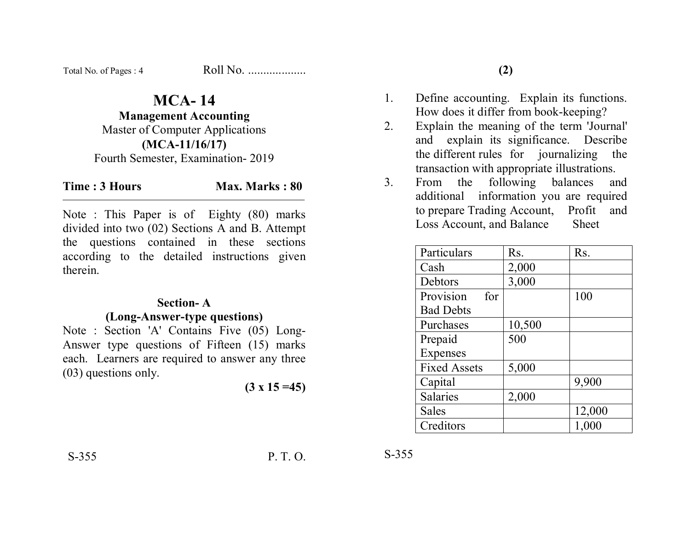| Total No. of Pages: 4 | Roll No. |
|-----------------------|----------|
|-----------------------|----------|

## **MCA- 14**

**Management Accounting** 

Master of Computer Applications **(MCA-11/16/17)**  Fourth Semester, Examination- 2019

## **Time : 3 Hours Max. Marks : 80**

Note : This Paper is of Eighty (80) marks divided into two (02) Sections A and B. Attempt the questions contained in these sections according to the detailed instructions given therein.

#### **Section- A**

#### **(Long-Answer-type questions)**

Note : Section 'A' Contains Five (05) Long-Answer type questions of Fifteen (15) marks each. Learners are required to answer any three (03) questions only.

$$
(3 \times 15 = 45)
$$

- 1. Define accounting. Explain its functions. How does it differ from book-keeping?
- 2. Explain the meaning of the term 'Journal' and explain its significance. Describe the different rules for journalizing the transaction with appropriate illustrations.
- 3. From the following balances and additional information you are required to prepare Trading Account, Profit and Loss Account, and Balance Sheet

| Particulars         | Rs.    | Rs.    |
|---------------------|--------|--------|
| Cash                | 2,000  |        |
| Debtors             | 3,000  |        |
| Provision<br>for    |        | 100    |
| <b>Bad Debts</b>    |        |        |
| Purchases           | 10,500 |        |
| Prepaid             | 500    |        |
| Expenses            |        |        |
| <b>Fixed Assets</b> | 5,000  |        |
| Capital             |        | 9,900  |
| Salaries            | 2,000  |        |
| <b>Sales</b>        |        | 12,000 |
| Creditors           |        | 1,000  |

S-355 P. T. O.

S-355